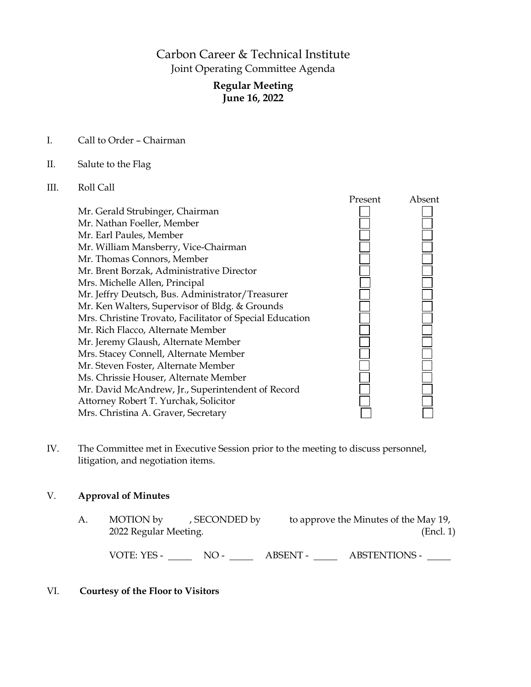# Carbon Career & Technical Institute Joint Operating Committee Agenda

# **Regular Meeting June 16, 2022**

I. Call to Order – Chairman

#### II. Salute to the Flag

# III. Roll Call



IV. The Committee met in Executive Session prior to the meeting to discuss personnel, litigation, and negotiation items.

#### V. **Approval of Minutes**

| А. | MOTION by             | , SECONDED by |          | to approve the Minutes of the May 19, |
|----|-----------------------|---------------|----------|---------------------------------------|
|    | 2022 Regular Meeting. |               |          | (Encl. 1)                             |
|    |                       |               |          |                                       |
|    | VOTE: YES -           | $NO-$         | ABSENT - | <b>ABSTENTIONS -</b>                  |

#### VI. **Courtesy of the Floor to Visitors**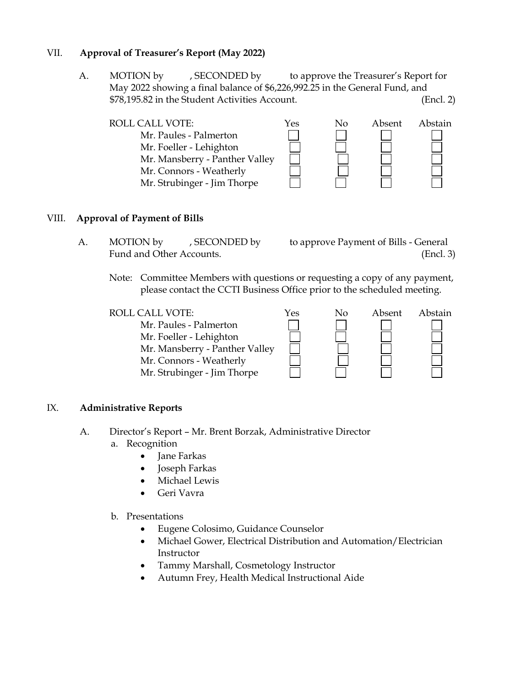# VII. **Approval of Treasurer's Report (May 2022)**

A. MOTION by , SECONDED by to approve the Treasurer's Report for May 2022 showing a final balance of \$6,226,992.25 in the General Fund, and \$78,195.82 in the Student Activities Account. (Encl. 2)

| <b>ROLL CALL VOTE:</b>         | Yes | Nο | Absent | Abstain |
|--------------------------------|-----|----|--------|---------|
| Mr. Paules - Palmerton         |     |    |        |         |
| Mr. Foeller - Lehighton        |     |    |        |         |
| Mr. Mansberry - Panther Valley |     |    |        |         |
| Mr. Connors - Weatherly        |     |    |        |         |
| Mr. Strubinger - Jim Thorpe    |     |    |        |         |

#### VIII. **Approval of Payment of Bills**

- A. MOTION by , SECONDED by to approve Payment of Bills General Fund and Other Accounts. (Encl. 3)
	- Note: Committee Members with questions or requesting a copy of any payment, please contact the CCTI Business Office prior to the scheduled meeting.

| <b>ROLL CALL VOTE:</b>         | Yes | Nο | Absent | Abstain |
|--------------------------------|-----|----|--------|---------|
| Mr. Paules - Palmerton         |     |    |        |         |
| Mr. Foeller - Lehighton        |     |    |        |         |
| Mr. Mansberry - Panther Valley |     |    |        |         |
| Mr. Connors - Weatherly        |     |    |        |         |
| Mr. Strubinger - Jim Thorpe    |     |    |        |         |

#### IX. **Administrative Reports**

- A. Director's Report Mr. Brent Borzak, Administrative Director a. Recognition
	- Jane Farkas
	- Joseph Farkas
	- Michael Lewis
	- Geri Vavra
	- b. Presentations
		- Eugene Colosimo, Guidance Counselor
		- Michael Gower, Electrical Distribution and Automation/Electrician Instructor
		- Tammy Marshall, Cosmetology Instructor
		- Autumn Frey, Health Medical Instructional Aide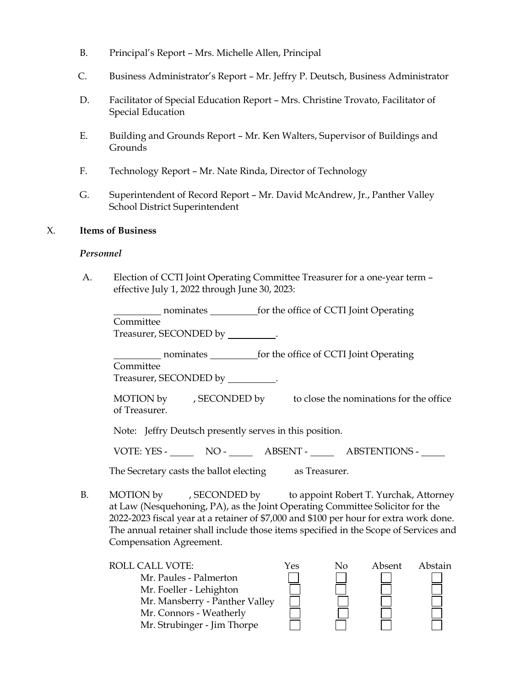- B. Principal's Report Mrs. Michelle Allen, Principal
- C. Business Administrator's Report Mr. Jeffry P. Deutsch, Business Administrator
- D. Facilitator of Special Education Report Mrs. Christine Trovato, Facilitator of Special Education
- E. Building and Grounds Report Mr. Ken Walters, Supervisor of Buildings and Grounds
- F. Technology Report Mr. Nate Rinda, Director of Technology
- G. Superintendent of Record Report Mr. David McAndrew, Jr., Panther Valley School District Superintendent

#### X. **Items of Business**

#### *Personnel*

A. Election of CCTI Joint Operating Committee Treasurer for a one-year term – effective July 1, 2022 through June 30, 2023:

nominates for the office of CCTI Joint Operating Committee

Treasurer, SECONDED by \_\_\_\_\_\_\_\_\_\_.

nominates for the office of CCTI Joint Operating

Committee

Treasurer, SECONDED by \_\_\_\_\_\_\_\_\_.

MOTION by , SECONDED by to close the nominations for the office of Treasurer.

Note: Jeffry Deutsch presently serves in this position.

VOTE: YES - NO - ABSENT - ABSTENTIONS -

The Secretary casts the ballot electing as Treasurer.

B. MOTION by , SECONDED by to appoint Robert T. Yurchak, Attorney at Law (Nesquehoning, PA), as the Joint Operating Committee Solicitor for the 2022-2023 fiscal year at a retainer of \$7,000 and \$100 per hour for extra work done. The annual retainer shall include those items specified in the Scope of Services and Compensation Agreement.

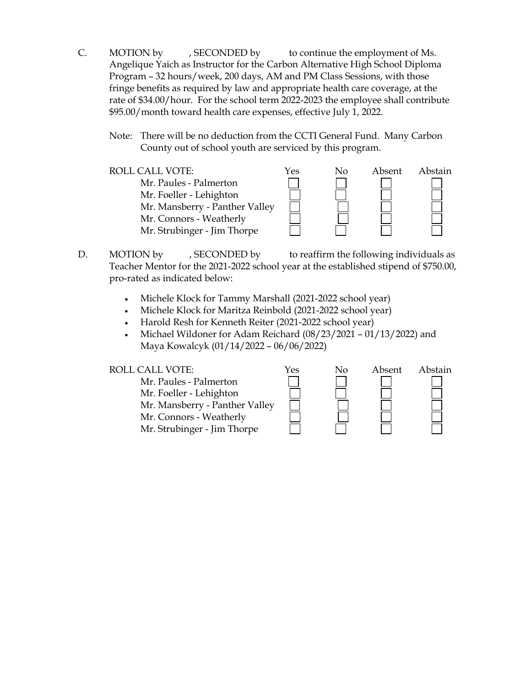- C. MOTION by , SECONDED by to continue the employment of Ms. Angelique Yaich as Instructor for the Carbon Alternative High School Diploma Program – 32 hours/week, 200 days, AM and PM Class Sessions, with those fringe benefits as required by law and appropriate health care coverage, at the rate of \$34.00/hour. For the school term 2022-2023 the employee shall contribute \$95.00/month toward health care expenses, effective July 1, 2022.
	- Note: There will be no deduction from the CCTI General Fund. Many Carbon County out of school youth are serviced by this program.
	- ROLL CALL VOTE:  $Y$ es No Absent Abstain Mr. Paules - Palmerton Mr. Foeller - Lehighton Mr. Mansberry - Panther Valley Mr. Connors - Weatherly Mr. Strubinger - Jim Thorpe
- D. MOTION by , SECONDED by to reaffirm the following individuals as Teacher Mentor for the 2021-2022 school year at the established stipend of \$750.00, pro-rated as indicated below:
	- Michele Klock for Tammy Marshall (2021-2022 school year)
	- Michele Klock for Maritza Reinbold (2021-2022 school year)
	- Harold Resh for Kenneth Reiter (2021-2022 school year)
	- Michael Wildoner for Adam Reichard (08/23/2021 01/13/2022) and Maya Kowalcyk (01/14/2022 – 06/06/2022)

| Mr. Paules - Palmerton         |  |
|--------------------------------|--|
| Mr. Foeller - Lehighton        |  |
| Mr. Mansberry - Panther Valley |  |

| ROLL CALL VOTE:<br>Mr. Paules - Palmerton<br>Mr. Foeller - Lehighton<br>Mr. Mansberry - Panther Valley<br>Mr. Connors - Weatherly | Yes | Nο | Absent | Abstain |
|-----------------------------------------------------------------------------------------------------------------------------------|-----|----|--------|---------|
| Mr. Strubinger - Jim Thorpe                                                                                                       |     |    |        |         |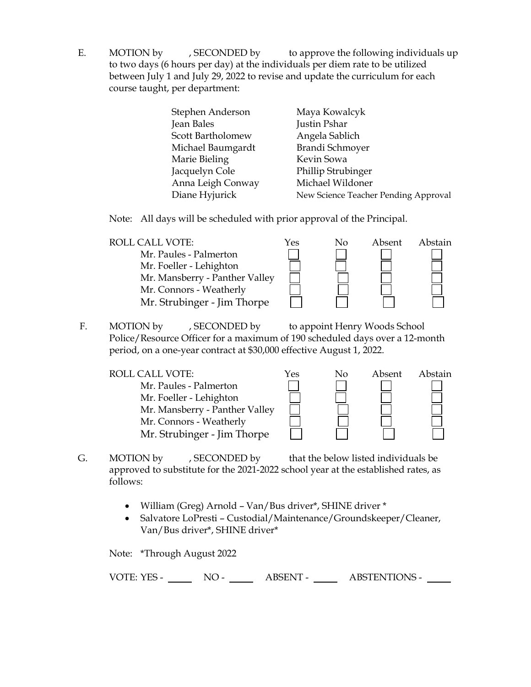E. MOTION by , SECONDED by to approve the following individuals up to two days (6 hours per day) at the individuals per diem rate to be utilized between July 1 and July 29, 2022 to revise and update the curriculum for each course taught, per department:

| Stephen Anderson  | Maya Kowalcyk                        |
|-------------------|--------------------------------------|
| Jean Bales        | Justin Pshar                         |
| Scott Bartholomew | Angela Sablich                       |
| Michael Baumgardt | Brandi Schmoyer                      |
| Marie Bieling     | Kevin Sowa                           |
| Jacquelyn Cole    | Phillip Strubinger                   |
| Anna Leigh Conway | Michael Wildoner                     |
| Diane Hyjurick    | New Science Teacher Pending Approval |

Note: All days will be scheduled with prior approval of the Principal.

| <b>ROLL CALL VOTE:</b>         | Yes | No | Absent | Abstain |
|--------------------------------|-----|----|--------|---------|
| Mr. Paules - Palmerton         |     |    |        |         |
| Mr. Foeller - Lehighton        |     |    |        |         |
| Mr. Mansberry - Panther Valley |     |    |        |         |
| Mr. Connors - Weatherly        |     |    |        |         |
| Mr. Strubinger - Jim Thorpe    |     |    |        |         |

F. MOTION by , SECONDED by to appoint Henry Woods School Police/Resource Officer for a maximum of 190 scheduled days over a 12-month period, on a one-year contract at \$30,000 effective August 1, 2022.

| ROLL CALL VOTE:                | Yes | No | Absent | Abstain |
|--------------------------------|-----|----|--------|---------|
| Mr. Paules - Palmerton         |     |    |        |         |
| Mr. Foeller - Lehighton        |     |    |        |         |
| Mr. Mansberry - Panther Valley |     |    |        |         |
| Mr. Connors - Weatherly        |     |    |        |         |
| Mr. Strubinger - Jim Thorpe    |     |    |        |         |

- G. MOTION by , SECONDED by that the below listed individuals be approved to substitute for the 2021-2022 school year at the established rates, as follows:
	- William (Greg) Arnold Van/Bus driver\*, SHINE driver \*
	- Salvatore LoPresti Custodial/Maintenance/Groundskeeper/Cleaner, Van/Bus driver\*, SHINE driver\*

Note: \*Through August 2022

VOTE: YES - NO - ABSENT - ABSTENTIONS -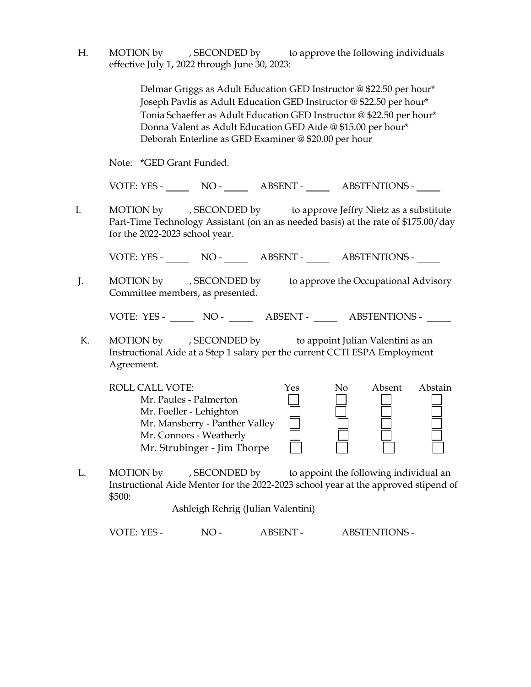H. MOTION by , SECONDED by to approve the following individuals effective July 1, 2022 through June 30, 2023:

> Delmar Griggs as Adult Education GED Instructor @ \$22.50 per hour\* Joseph Pavlis as Adult Education GED Instructor @ \$22.50 per hour\* Tonia Schaeffer as Adult Education GED Instructor @ \$22.50 per hour\* Donna Valent as Adult Education GED Aide @ \$15.00 per hour\* Deborah Enterline as GED Examiner @ \$20.00 per hour

Note: \*GED Grant Funded.

VOTE: YES - NO - ABSENT - ABSTENTIONS -

 I. MOTION by , SECONDED by to approve Jeffry Nietz as a substitute Part-Time Technology Assistant (on an as needed basis) at the rate of \$175.00/day for the 2022-2023 school year.

VOTE: YES - NO - ABSENT - ABSTENTIONS -

J. MOTION by , SECONDED by to approve the Occupational Advisory Committee members, as presented.

VOTE: YES - NO - NO - ABSENT - ABSTENTIONS -

K. MOTION by , SECONDED by to appoint Julian Valentini as an Instructional Aide at a Step 1 salary per the current CCTI ESPA Employment Agreement.

| <b>ROLL CALL VOTE:</b>         | Yes | No | Absent | Abstain |
|--------------------------------|-----|----|--------|---------|
| Mr. Paules - Palmerton         |     |    |        |         |
| Mr. Foeller - Lehighton        |     |    |        |         |
| Mr. Mansberry - Panther Valley |     |    |        |         |
| Mr. Connors - Weatherly        |     |    |        |         |
| Mr. Strubinger - Jim Thorpe    |     |    |        |         |

L. MOTION by , SECONDED by to appoint the following individual an Instructional Aide Mentor for the 2022-2023 school year at the approved stipend of \$500:

Ashleigh Rehrig (Julian Valentini)

VOTE: YES - NO - ABSENT - ABSTENTIONS -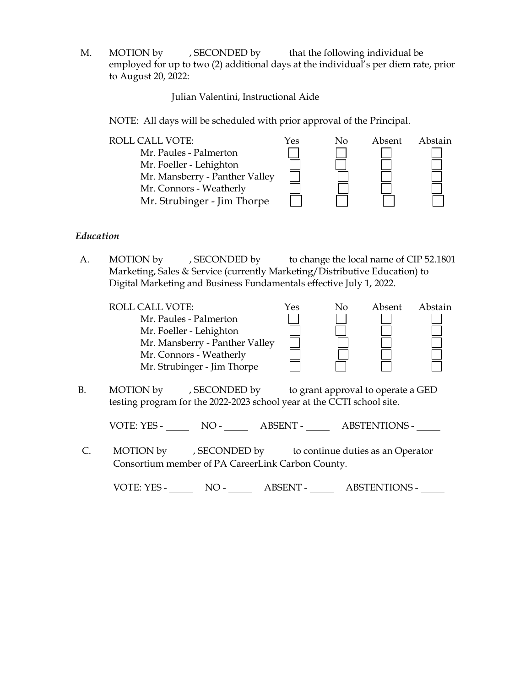M. MOTION by , SECONDED by that the following individual be employed for up to two (2) additional days at the individual's per diem rate, prior to August 20, 2022:

Julian Valentini, Instructional Aide

NOTE: All days will be scheduled with prior approval of the Principal.

| <b>ROLL CALL VOTE:</b><br>Mr. Paules - Palmerton<br>Mr. Foeller - Lehighton<br>Mr. Mansberry - Panther Valley<br>Mr. Connors - Weatherly<br>Mr. Strubinger - Jim Thorpe | Yes | No | Absent | Abstain |
|-------------------------------------------------------------------------------------------------------------------------------------------------------------------------|-----|----|--------|---------|
|                                                                                                                                                                         |     |    |        |         |

# *Education*

A. MOTION by , SECONDED by to change the local name of CIP 52.1801 Marketing, Sales & Service (currently Marketing/Distributive Education) to Digital Marketing and Business Fundamentals effective July 1, 2022.

| <b>ROLL CALL VOTE:</b>         | Yes | No | Absent | Abstain |
|--------------------------------|-----|----|--------|---------|
| Mr. Paules - Palmerton         |     |    |        |         |
| Mr. Foeller - Lehighton        |     |    |        |         |
| Mr. Mansberry - Panther Valley |     |    |        |         |
| Mr. Connors - Weatherly        |     |    |        |         |
| Mr. Strubinger - Jim Thorpe    |     |    |        |         |
|                                |     |    |        |         |
|                                |     |    |        |         |

B. MOTION by , SECONDED by to grant approval to operate a GED testing program for the 2022-2023 school year at the CCTI school site.

VOTE: YES - NO - NO - ABSENT - ABSTENTIONS -

 C. MOTION by , SECONDED by to continue duties as an Operator Consortium member of PA CareerLink Carbon County.

VOTE: YES - NO - ABSENT - ABSTENTIONS -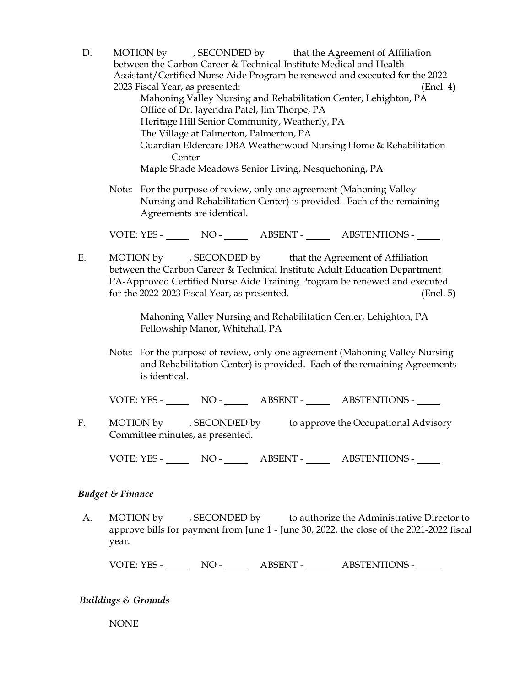- D. MOTION by , SECONDED by that the Agreement of Affiliation between the Carbon Career & Technical Institute Medical and Health Assistant/Certified Nurse Aide Program be renewed and executed for the 2022- 2023 Fiscal Year, as presented: (Encl. 4) Mahoning Valley Nursing and Rehabilitation Center, Lehighton, PA Office of Dr. Jayendra Patel, Jim Thorpe, PA Heritage Hill Senior Community, Weatherly, PA The Village at Palmerton, Palmerton, PA Guardian Eldercare DBA Weatherwood Nursing Home & Rehabilitation **Center** Maple Shade Meadows Senior Living, Nesquehoning, PA
	- Note: For the purpose of review, only one agreement (Mahoning Valley Nursing and Rehabilitation Center) is provided. Each of the remaining Agreements are identical.

VOTE: YES - NO - ABSENT - ABSTENTIONS -

E. MOTION by , SECONDED by that the Agreement of Affiliation between the Carbon Career & Technical Institute Adult Education Department PA-Approved Certified Nurse Aide Training Program be renewed and executed for the 2022-2023 Fiscal Year, as presented. (Encl. 5)

> Mahoning Valley Nursing and Rehabilitation Center, Lehighton, PA Fellowship Manor, Whitehall, PA

Note: For the purpose of review, only one agreement (Mahoning Valley Nursing and Rehabilitation Center) is provided. Each of the remaining Agreements is identical.

VOTE: YES - NO - ABSENT - ABSTENTIONS -

F. MOTION by , SECONDED by to approve the Occupational Advisory Committee minutes, as presented.

VOTE: YES - NO - ABSENT - ABSTENTIONS -

#### *Budget & Finance*

A. MOTION by , SECONDED by to authorize the Administrative Director to approve bills for payment from June 1 - June 30, 2022, the close of the 2021-2022 fiscal year.

VOTE: YES - NO - ABSENT - ABSTENTIONS -

# *Buildings & Grounds*

NONE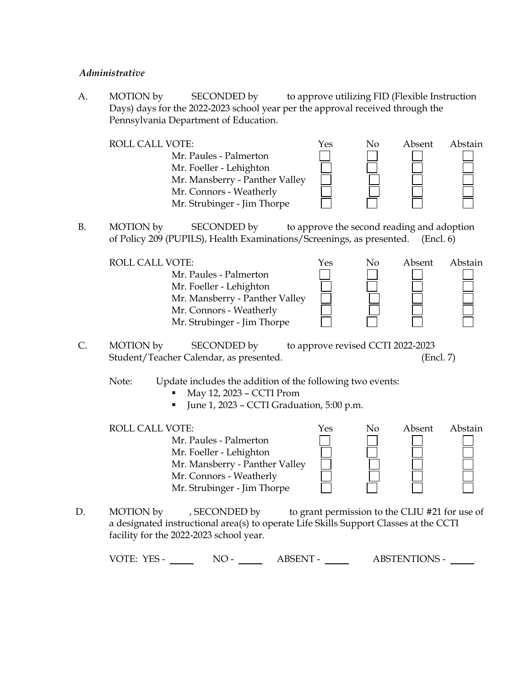#### *Administrative*

A. MOTION by SECONDED by to approve utilizing FID (Flexible Instruction Days) days for the 2022-2023 school year per the approval received through the Pennsylvania Department of Education.

ROLL CALL VOTE:  $\gamma$ es No Absent Abstain Mr. Paules - Palmerton Mr. Foeller - Lehighton Mr. Mansberry - Panther Valley Mr. Connors - Weatherly Mr. Strubinger - Jim Thorpe

B. MOTION by SECONDED by to approve the second reading and adoption of Policy 209 (PUPILS), Health Examinations/Screenings, as presented. (Encl. 6)

| ROLL CALL VOTE:<br>Mr. Paules - Palmerton<br>Mr. Foeller - Lehighton<br>Mr. Mansberry - Panther Valley | Yes | No | Absent | Abstain |
|--------------------------------------------------------------------------------------------------------|-----|----|--------|---------|
| Mr. Connors - Weatherly<br>Mr. Strubinger - Jim Thorpe                                                 |     |    |        |         |

C. MOTION by SECONDED by to approve revised CCTI 2022-2023 Student/Teacher Calendar, as presented. (Encl. 7)

Note: Update includes the addition of the following two events:

- $May 12, 2023 CCTI$  Prom
- $\blacksquare$  June 1, 2023 CCTI Graduation, 5:00 p.m.
- ROLL CALL VOTE:  $\gamma$ es No Absent Abstain Mr. Paules - Palmerton Mr. Foeller - Lehighton Mr. Mansberry - Panther Valley Mr. Connors - Weatherly Mr. Strubinger - Jim Thorpe
- D. MOTION by , SECONDED by to grant permission to the CLIU #21 for use of a designated instructional area(s) to operate Life Skills Support Classes at the CCTI facility for the 2022-2023 school year.

VOTE: YES - NO - NO - ABSENT - ABSTENTIONS -